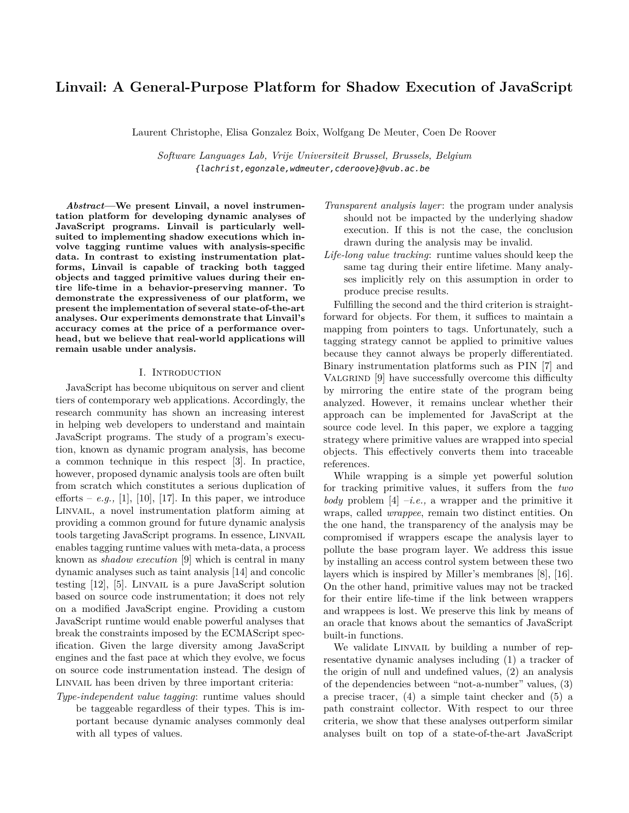# **Linvail: A General-Purpose Platform for Shadow Execution of JavaScript**

Laurent Christophe, Elisa Gonzalez Boix, Wolfgang De Meuter, Coen De Roover

*Software Languages Lab, Vrije Universiteit Brussel, Brussels, Belgium* {lachrist,egonzale,wdmeuter,cderoove}@vub.ac.be

*Abstract***—We present Linvail, a novel instrumentation platform for developing dynamic analyses of JavaScript programs. Linvail is particularly wellsuited to implementing shadow executions which involve tagging runtime values with analysis-specific data. In contrast to existing instrumentation platforms, Linvail is capable of tracking both tagged objects and tagged primitive values during their entire life-time in a behavior-preserving manner. To demonstrate the expressiveness of our platform, we present the implementation of several state-of-the-art analyses. Our experiments demonstrate that Linvail's accuracy comes at the price of a performance overhead, but we believe that real-world applications will remain usable under analysis.**

## I. Introduction

JavaScript has become ubiquitous on server and client tiers of contemporary web applications. Accordingly, the research community has shown an increasing interest in helping web developers to understand and maintain JavaScript programs. The study of a program's execution, known as dynamic program analysis, has become a common technique in this respect [3]. In practice, however, proposed dynamic analysis tools are often built from scratch which constitutes a serious duplication of efforts –  $e.g., [1], [10], [17]$ . In this paper, we introduce Linvail, a novel instrumentation platform aiming at providing a common ground for future dynamic analysis tools targeting JavaScript programs. In essence, Linvail enables tagging runtime values with meta-data, a process known as *shadow execution* [9] which is central in many dynamic analyses such as taint analysis [14] and concolic testing [12], [5]. Linvail is a pure JavaScript solution based on source code instrumentation; it does not rely on a modified JavaScript engine. Providing a custom JavaScript runtime would enable powerful analyses that break the constraints imposed by the ECMAScript specification. Given the large diversity among JavaScript engines and the fast pace at which they evolve, we focus on source code instrumentation instead. The design of Linvail has been driven by three important criteria:

*Type-independent value tagging*: runtime values should be taggeable regardless of their types. This is important because dynamic analyses commonly deal with all types of values.

- *Transparent analysis layer*: the program under analysis should not be impacted by the underlying shadow execution. If this is not the case, the conclusion drawn during the analysis may be invalid.
- *Life-long value tracking*: runtime values should keep the same tag during their entire lifetime. Many analyses implicitly rely on this assumption in order to produce precise results.

Fulfilling the second and the third criterion is straightforward for objects. For them, it suffices to maintain a mapping from pointers to tags. Unfortunately, such a tagging strategy cannot be applied to primitive values because they cannot always be properly differentiated. Binary instrumentation platforms such as PIN [7] and VALGRIND [9] have successfully overcome this difficulty by mirroring the entire state of the program being analyzed. However, it remains unclear whether their approach can be implemented for JavaScript at the source code level. In this paper, we explore a tagging strategy where primitive values are wrapped into special objects. This effectively converts them into traceable references.

While wrapping is a simple yet powerful solution for tracking primitive values, it suffers from the *two body* problem  $[4]$  –*i.e.*, a wrapper and the primitive it wraps, called *wrappee*, remain two distinct entities. On the one hand, the transparency of the analysis may be compromised if wrappers escape the analysis layer to pollute the base program layer. We address this issue by installing an access control system between these two layers which is inspired by Miller's membranes [8], [16]. On the other hand, primitive values may not be tracked for their entire life-time if the link between wrappers and wrappees is lost. We preserve this link by means of an oracle that knows about the semantics of JavaScript built-in functions.

We validate LINVAIL by building a number of representative dynamic analyses including (1) a tracker of the origin of null and undefined values, (2) an analysis of the dependencies between "not-a-number" values, (3) a precise tracer, (4) a simple taint checker and (5) a path constraint collector. With respect to our three criteria, we show that these analyses outperform similar analyses built on top of a state-of-the-art JavaScript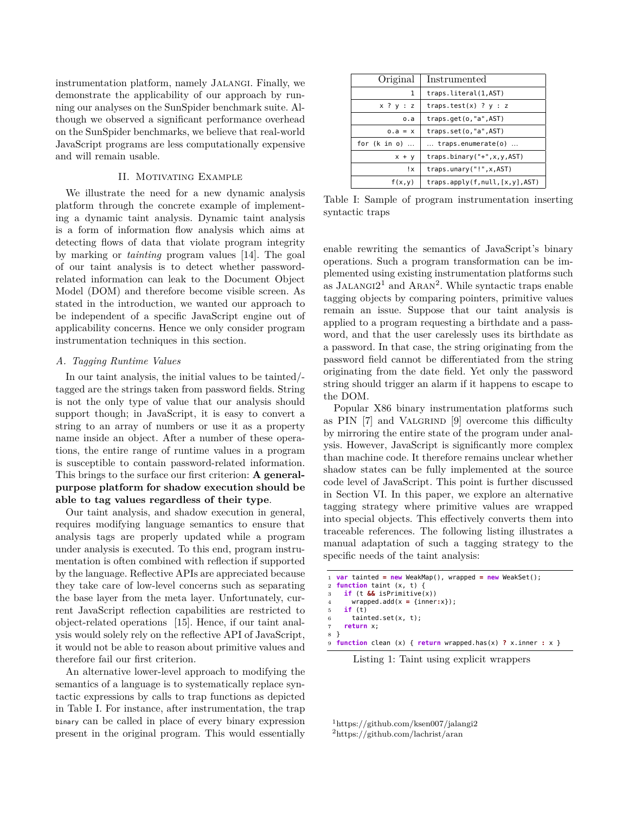instrumentation platform, namely Jalangi. Finally, we demonstrate the applicability of our approach by running our analyses on the SunSpider benchmark suite. Although we observed a significant performance overhead on the SunSpider benchmarks, we believe that real-world JavaScript programs are less computationally expensive and will remain usable.

# II. Motivating Example

We illustrate the need for a new dynamic analysis platform through the concrete example of implementing a dynamic taint analysis. Dynamic taint analysis is a form of information flow analysis which aims at detecting flows of data that violate program integrity by marking or *tainting* program values [14]. The goal of our taint analysis is to detect whether passwordrelated information can leak to the Document Object Model (DOM) and therefore become visible screen. As stated in the introduction, we wanted our approach to be independent of a specific JavaScript engine out of applicability concerns. Hence we only consider program instrumentation techniques in this section.

#### *A. Tagging Runtime Values*

In our taint analysis, the initial values to be tainted/ tagged are the strings taken from password fields. String is not the only type of value that our analysis should support though; in JavaScript, it is easy to convert a string to an array of numbers or use it as a property name inside an object. After a number of these operations, the entire range of runtime values in a program is susceptible to contain password-related information. This brings to the surface our first criterion: **A generalpurpose platform for shadow execution should be able to tag values regardless of their type**.

Our taint analysis, and shadow execution in general, requires modifying language semantics to ensure that analysis tags are properly updated while a program under analysis is executed. To this end, program instrumentation is often combined with reflection if supported by the language. Reflective APIs are appreciated because they take care of low-level concerns such as separating the base layer from the meta layer. Unfortunately, current JavaScript reflection capabilities are restricted to object-related operations [15]. Hence, if our taint analysis would solely rely on the reflective API of JavaScript, it would not be able to reason about primitive values and therefore fail our first criterion.

An alternative lower-level approach to modifying the semantics of a language is to systematically replace syntactic expressions by calls to trap functions as depicted in Table I. For instance, after instrumentation, the trap binary can be called in place of every binary expression present in the original program. This would essentially

| Original         | Instrumented                         |  |  |  |
|------------------|--------------------------------------|--|--|--|
| 1                | traps.literal(1,AST)                 |  |  |  |
| x ? y : z        | traps.test(x) ? $y : z$              |  |  |  |
| 0.a              | traps.get(o,"a", AST)                |  |  |  |
| $0.a = x$        | traps.set(o,"a",AST)                 |  |  |  |
| for $(k \infty)$ | $\ldots$ traps.enumerate(o) $\ldots$ |  |  |  |
| $x + y$          | traps.binary("+",x,y,AST)            |  |  |  |
| !x               | traps.unary("!", x, AST)             |  |  |  |
| f(x,y)           | traps.append(y(f, null, [x, y], AST) |  |  |  |

Table I: Sample of program instrumentation inserting syntactic traps

enable rewriting the semantics of JavaScript's binary operations. Such a program transformation can be implemented using existing instrumentation platforms such as JALANGI $2^1$  and ARAN<sup>2</sup>. While syntactic traps enable tagging objects by comparing pointers, primitive values remain an issue. Suppose that our taint analysis is applied to a program requesting a birthdate and a password, and that the user carelessly uses its birthdate as a password. In that case, the string originating from the password field cannot be differentiated from the string originating from the date field. Yet only the password string should trigger an alarm if it happens to escape to the DOM.

Popular X86 binary instrumentation platforms such as PIN  $[7]$  and VALGRIND  $[9]$  overcome this difficulty by mirroring the entire state of the program under analysis. However, JavaScript is significantly more complex than machine code. It therefore remains unclear whether shadow states can be fully implemented at the source code level of JavaScript. This point is further discussed in Section VI. In this paper, we explore an alternative tagging strategy where primitive values are wrapped into special objects. This effectively converts them into traceable references. The following listing illustrates a manual adaptation of such a tagging strategy to the specific needs of the taint analysis:

```
1 var tainted = new WeakMap(), wrapped = new WeakSet();
  function taint (x, t) {
    3 if (t && isPrimitive(x))
      wrapped.add(x = {inner:x};if (t)6 tainted.set(x, t);
    return x;
8 }
9 function clean (x) { return wrapped.has(x) ? x.inner : x }
```
Listing 1: Taint using explicit wrappers

<sup>1</sup>https://github.com/ksen007/jalangi2 <sup>2</sup>https://github.com/lachrist/aran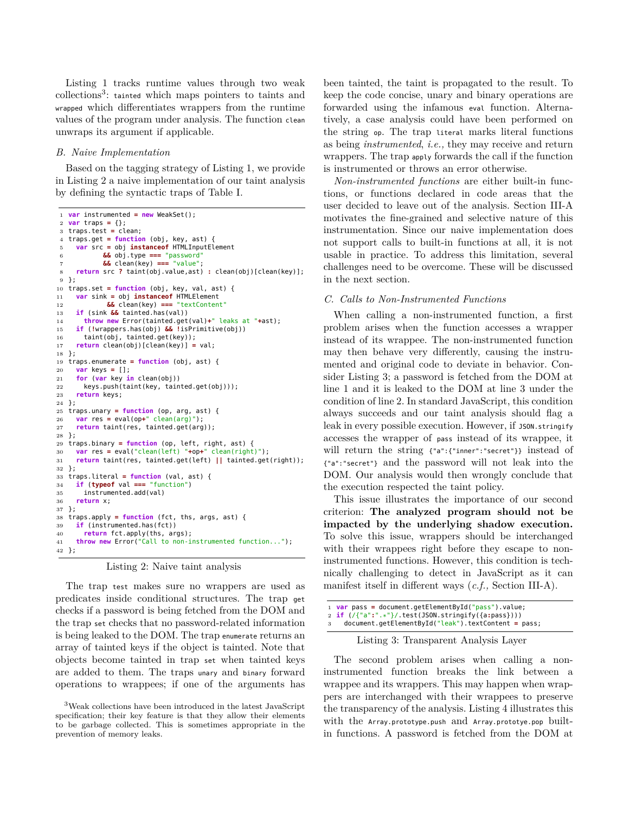Listing 1 tracks runtime values through two weak collections<sup>3</sup>: tainted which maps pointers to taints and wrapped which differentiates wrappers from the runtime values of the program under analysis. The function clean unwraps its argument if applicable.

## *B. Naive Implementation*

Based on the tagging strategy of Listing 1, we provide in Listing 2 a naive implementation of our taint analysis by defining the syntactic traps of Table I.

```
1 var instrumented = new WeakSet();
 2 var traps = {};
 3 traps.test = clean;
 4 traps.get = function (obj, key, ast) {
 5 var src = obj instanceof HTMLInputElement
 6 && obj.type === "password"
            7 && clean(key) === "value";
 8 return src ? taint(obj.value,ast) : clean(obj)[clean(key)];
 9 };
10 traps.set = function (obj, key, val, ast) {
11 var sink = obj instanceof HTMLElement
12 && clean(key) === "textContent"
13 if (sink && tainted.has(val))
14 throw new Error(tainted.get(val)+" leaks at "+ast);
15 if (!wrappers.has(obj) && !isPrimitive(obj))
16 taint(obj, tainted.get(key));
17 return clean(obj)[clean(key)] = val;
18 };
19 traps.enumerate = function (obj, ast) {
20 var keys = [];
21 for (var key in clean(obj))
22 keys.push(taint(key, tainted.get(obj)));
23 return keys;
24 };
25 traps.unary = function (op, arg, ast) {
26 var res = eval(op+" clean(arg)");
27 return taint(res, tainted.get(arg));
28 };
29 traps.binary = function (op, left, right, ast) {
30 var res = eval("clean(left) "+op+" clean(right)");
31 return taint(res, tainted.get(left) || tainted.get(right));
32 };
33 traps.literal = function (val, ast) {
34 if (typeof val === "function")
35 instrumented.add(val)
36 return x;
37 };
   38 traps.apply = function (fct, ths, args, ast) {
39 if (instrumented.has(fct))
40 return fct.apply(ths, args);
41 throw new Error("Call to non-instrumented function...");
42 };
```
Listing 2: Naive taint analysis

The trap test makes sure no wrappers are used as predicates inside conditional structures. The trap get checks if a password is being fetched from the DOM and the trap set checks that no password-related information is being leaked to the DOM. The trap enumerate returns an array of tainted keys if the object is tainted. Note that objects become tainted in trap set when tainted keys are added to them. The traps unary and binary forward operations to wrappees; if one of the arguments has been tainted, the taint is propagated to the result. To keep the code concise, unary and binary operations are forwarded using the infamous eval function. Alternatively, a case analysis could have been performed on the string op. The trap literal marks literal functions as being *instrumented*, *i.e.,* they may receive and return wrappers. The trap apply forwards the call if the function is instrumented or throws an error otherwise.

*Non-instrumented functions* are either built-in functions, or functions declared in code areas that the user decided to leave out of the analysis. Section III-A motivates the fine-grained and selective nature of this instrumentation. Since our naive implementation does not support calls to built-in functions at all, it is not usable in practice. To address this limitation, several challenges need to be overcome. These will be discussed in the next section.

## *C. Calls to Non-Instrumented Functions*

When calling a non-instrumented function, a first problem arises when the function accesses a wrapper instead of its wrappee. The non-instrumented function may then behave very differently, causing the instrumented and original code to deviate in behavior. Consider Listing 3; a password is fetched from the DOM at line 1 and it is leaked to the DOM at line 3 under the condition of line 2. In standard JavaScript, this condition always succeeds and our taint analysis should flag a leak in every possible execution. However, if JSON.stringify accesses the wrapper of pass instead of its wrappee, it will return the string {"a":{"inner":"secret"}} instead of {"a":"secret"} and the password will not leak into the DOM. Our analysis would then wrongly conclude that the execution respected the taint policy.

This issue illustrates the importance of our second criterion: **The analyzed program should not be impacted by the underlying shadow execution.** To solve this issue, wrappers should be interchanged with their wrappees right before they escape to noninstrumented functions. However, this condition is technically challenging to detect in JavaScript as it can manifest itself in different ways (*c.f.,* Section III-A).

|   | 1 var pass = document.getElementById("pass").value;                      |
|---|--------------------------------------------------------------------------|
|   | 2 if $( / \{ "a":": : " \} / . \text{test}(JSON.stringify(\{a:pass\})))$ |
| 3 | $document.getElementById("leak") . textContent = pass;$                  |
|   |                                                                          |

Listing 3: Transparent Analysis Layer

The second problem arises when calling a noninstrumented function breaks the link between a wrappee and its wrappers. This may happen when wrappers are interchanged with their wrappees to preserve the transparency of the analysis. Listing 4 illustrates this with the Array.prototype.push and Array.prototye.pop builtin functions. A password is fetched from the DOM at

<sup>3</sup>Weak collections have been introduced in the latest JavaScript specification; their key feature is that they allow their elements to be garbage collected. This is sometimes appropriate in the prevention of memory leaks.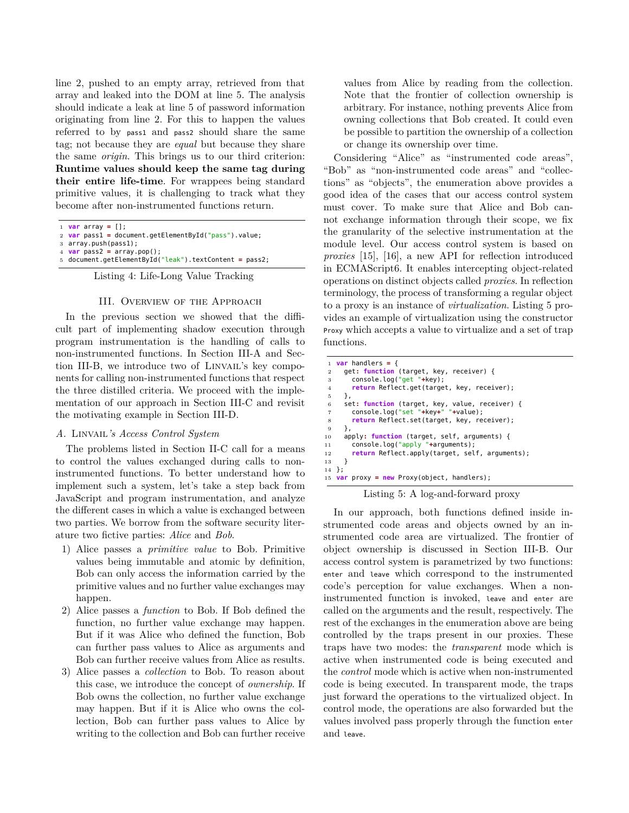line 2, pushed to an empty array, retrieved from that array and leaked into the DOM at line 5. The analysis should indicate a leak at line 5 of password information originating from line 2. For this to happen the values referred to by pass1 and pass2 should share the same tag; not because they are *equal* but because they share the same *origin*. This brings us to our third criterion: **Runtime values should keep the same tag during their entire life-time**. For wrappees being standard primitive values, it is challenging to track what they become after non-instrumented functions return.

```
1 var array = [];
```

```
2 var pass1 = document.getElementById("pass").value;
```

```
3 array.push(pass1);
  4 var pass2 = array.pop();
```

```
5 document.getElementById("leak").textContent = pass2;
```
Listing 4: Life-Long Value Tracking

# III. Overview of the Approach

In the previous section we showed that the difficult part of implementing shadow execution through program instrumentation is the handling of calls to non-instrumented functions. In Section III-A and Section III-B, we introduce two of Linvail's key components for calling non-instrumented functions that respect the three distilled criteria. We proceed with the implementation of our approach in Section III-C and revisit the motivating example in Section III-D.

# *A.* Linvail*'s Access Control System*

The problems listed in Section II-C call for a means to control the values exchanged during calls to noninstrumented functions. To better understand how to implement such a system, let's take a step back from JavaScript and program instrumentation, and analyze the different cases in which a value is exchanged between two parties. We borrow from the software security literature two fictive parties: *Alice* and *Bob*.

- 1) Alice passes a *primitive value* to Bob. Primitive values being immutable and atomic by definition, Bob can only access the information carried by the primitive values and no further value exchanges may happen.
- 2) Alice passes a *function* to Bob. If Bob defined the function, no further value exchange may happen. But if it was Alice who defined the function, Bob can further pass values to Alice as arguments and Bob can further receive values from Alice as results.
- 3) Alice passes a *collection* to Bob. To reason about this case, we introduce the concept of *ownership*. If Bob owns the collection, no further value exchange may happen. But if it is Alice who owns the collection, Bob can further pass values to Alice by writing to the collection and Bob can further receive

values from Alice by reading from the collection. Note that the frontier of collection ownership is arbitrary. For instance, nothing prevents Alice from owning collections that Bob created. It could even be possible to partition the ownership of a collection or change its ownership over time.

Considering "Alice" as "instrumented code areas", "Bob" as "non-instrumented code areas" and "collections" as "objects", the enumeration above provides a good idea of the cases that our access control system must cover. To make sure that Alice and Bob cannot exchange information through their scope, we fix the granularity of the selective instrumentation at the module level. Our access control system is based on *proxies* [15], [16], a new API for reflection introduced in ECMAScript6. It enables intercepting object-related operations on distinct objects called *proxies*. In reflection terminology, the process of transforming a regular object to a proxy is an instance of *virtualization*. Listing 5 provides an example of virtualization using the constructor Proxy which accepts a value to virtualize and a set of trap functions.

```
1 var handlers = {
     2 get: function (target, key, receiver) {
3 console.log("get "+key);
        4 return Reflect.get(target, key, receiver);
     5 },
 6 set: function (target, key, value, receiver) {
7 console.log("set "+key+" "+value);
        8 return Reflect.set(target, key, receiver);
9 },
10 apply: function (target, self, arguments) {
11 console.log("apply "+arguments);
12 return Reflect.apply(target, self, arguments);
13 }
14 };
15 var proxy = new Proxy(object, handlers);
```
Listing 5: A log-and-forward proxy

In our approach, both functions defined inside instrumented code areas and objects owned by an instrumented code area are virtualized. The frontier of object ownership is discussed in Section III-B. Our access control system is parametrized by two functions: enter and leave which correspond to the instrumented code's perception for value exchanges. When a noninstrumented function is invoked, leave and enter are called on the arguments and the result, respectively. The rest of the exchanges in the enumeration above are being controlled by the traps present in our proxies. These traps have two modes: the *transparent* mode which is active when instrumented code is being executed and the *control* mode which is active when non-instrumented code is being executed. In transparent mode, the traps just forward the operations to the virtualized object. In control mode, the operations are also forwarded but the values involved pass properly through the function enter and leave.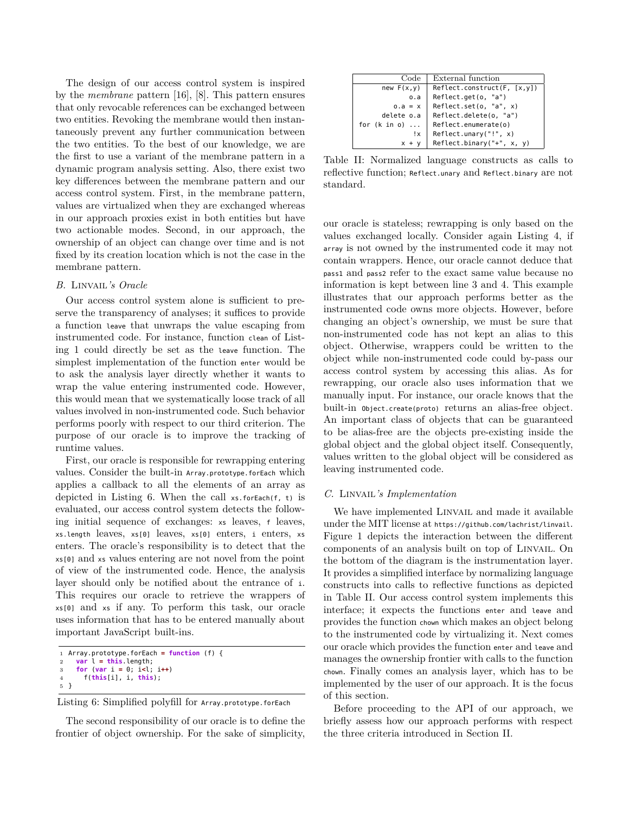The design of our access control system is inspired by the *membrane* pattern [16], [8]. This pattern ensures that only revocable references can be exchanged between two entities. Revoking the membrane would then instantaneously prevent any further communication between the two entities. To the best of our knowledge, we are the first to use a variant of the membrane pattern in a dynamic program analysis setting. Also, there exist two key differences between the membrane pattern and our access control system. First, in the membrane pattern, values are virtualized when they are exchanged whereas in our approach proxies exist in both entities but have two actionable modes. Second, in our approach, the ownership of an object can change over time and is not fixed by its creation location which is not the case in the membrane pattern.

# *B.* Linvail*'s Oracle*

Our access control system alone is sufficient to preserve the transparency of analyses; it suffices to provide a function leave that unwraps the value escaping from instrumented code. For instance, function clean of Listing 1 could directly be set as the leave function. The simplest implementation of the function enter would be to ask the analysis layer directly whether it wants to wrap the value entering instrumented code. However, this would mean that we systematically loose track of all values involved in non-instrumented code. Such behavior performs poorly with respect to our third criterion. The purpose of our oracle is to improve the tracking of runtime values.

First, our oracle is responsible for rewrapping entering values. Consider the built-in Array.prototype.forEach which applies a callback to all the elements of an array as depicted in Listing 6. When the call xs.forEach(f, t) is evaluated, our access control system detects the following initial sequence of exchanges: xs leaves, <sup>f</sup> leaves, xs.length leaves, xs[0] leaves, xs[0] enters, <sup>i</sup> enters, xs enters. The oracle's responsibility is to detect that the xs[0] and xs values entering are not novel from the point of view of the instrumented code. Hence, the analysis layer should only be notified about the entrance of <sup>i</sup>. This requires our oracle to retrieve the wrappers of xs[0] and xs if any. To perform this task, our oracle uses information that has to be entered manually about important JavaScript built-ins.

```
1 Array.prototype.forEach = function (f) {
2 var l = this.length;
3 for (var i = 0; i<l; i++)
4 f(this[i], i, this);
5 }
```


The second responsibility of our oracle is to define the frontier of object ownership. For the sake of simplicity,

| Code           | External function          |
|----------------|----------------------------|
| new $F(x,y)$   | $Reflect.config.$ $(x, y)$ |
| 0.a            | Reflect.get(o, "a")        |
| $0.a = x$      | Reflect.set( $o, "a", x$ ) |
| delete o.a     | Reflect.delete(o, "a")     |
| for $(k in 0)$ | Reflect.enumerate(o)       |
| !x             | Reflect.unary(" $! "$ , x) |
| $x + v$        | Reflect.binary("+", x, y)  |

Table II: Normalized language constructs as calls to reflective function; Reflect.unary and Reflect.binary are not standard.

our oracle is stateless; rewrapping is only based on the values exchanged locally. Consider again Listing 4, if array is not owned by the instrumented code it may not contain wrappers. Hence, our oracle cannot deduce that pass1 and pass2 refer to the exact same value because no information is kept between line 3 and 4. This example illustrates that our approach performs better as the instrumented code owns more objects. However, before changing an object's ownership, we must be sure that non-instrumented code has not kept an alias to this object. Otherwise, wrappers could be written to the object while non-instrumented code could by-pass our access control system by accessing this alias. As for rewrapping, our oracle also uses information that we manually input. For instance, our oracle knows that the built-in Object.create(proto) returns an alias-free object. An important class of objects that can be guaranteed to be alias-free are the objects pre-existing inside the global object and the global object itself. Consequently, values written to the global object will be considered as leaving instrumented code.

## *C.* Linvail*'s Implementation*

We have implemented LINVAIL and made it available under the MIT license at https://github.com/lachrist/linvail. Figure 1 depicts the interaction between the different components of an analysis built on top of Linvail. On the bottom of the diagram is the instrumentation layer. It provides a simplified interface by normalizing language constructs into calls to reflective functions as depicted in Table II. Our access control system implements this interface; it expects the functions enter and leave and provides the function chown which makes an object belong to the instrumented code by virtualizing it. Next comes our oracle which provides the function enter and leave and manages the ownership frontier with calls to the function chown. Finally comes an analysis layer, which has to be implemented by the user of our approach. It is the focus of this section.

Before proceeding to the API of our approach, we briefly assess how our approach performs with respect the three criteria introduced in Section II.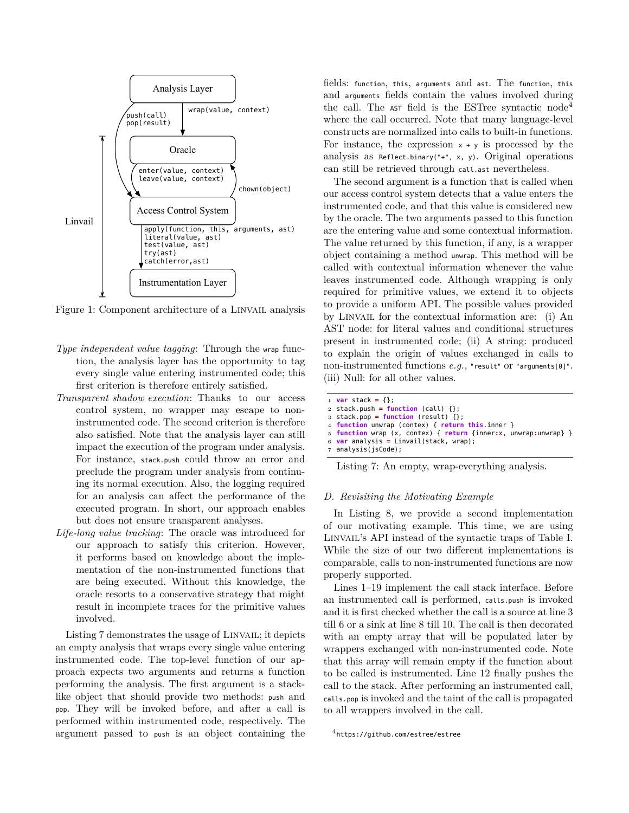

Figure 1: Component architecture of a LINVAIL analysis

- *Type independent value tagging*: Through the wrap function, the analysis layer has the opportunity to tag every single value entering instrumented code; this first criterion is therefore entirely satisfied.
- *Transparent shadow execution*: Thanks to our access control system, no wrapper may escape to noninstrumented code. The second criterion is therefore also satisfied. Note that the analysis layer can still impact the execution of the program under analysis. For instance, stack.push could throw an error and preclude the program under analysis from continuing its normal execution. Also, the logging required for an analysis can affect the performance of the executed program. In short, our approach enables but does not ensure transparent analyses.
- *Life-long value tracking*: The oracle was introduced for our approach to satisfy this criterion. However, it performs based on knowledge about the implementation of the non-instrumented functions that are being executed. Without this knowledge, the oracle resorts to a conservative strategy that might result in incomplete traces for the primitive values involved.

Listing 7 demonstrates the usage of Linvail; it depicts an empty analysis that wraps every single value entering instrumented code. The top-level function of our approach expects two arguments and returns a function performing the analysis. The first argument is a stacklike object that should provide two methods: push and pop. They will be invoked before, and after a call is performed within instrumented code, respectively. The argument passed to push is an object containing the fields: function, this, arguments and ast. The function, this and arguments fields contain the values involved during the call. The  $ext{ast}$  field is the ESTree syntactic node<sup>4</sup> where the call occurred. Note that many language-level constructs are normalized into calls to built-in functions. For instance, the expression  $x + y$  is processed by the analysis as Reflect.binary("+", x, y). Original operations can still be retrieved through call.ast nevertheless.

The second argument is a function that is called when our access control system detects that a value enters the instrumented code, and that this value is considered new by the oracle. The two arguments passed to this function are the entering value and some contextual information. The value returned by this function, if any, is a wrapper object containing a method unwrap. This method will be called with contextual information whenever the value leaves instrumented code. Although wrapping is only required for primitive values, we extend it to objects to provide a uniform API. The possible values provided by Linvail for the contextual information are: (i) An AST node: for literal values and conditional structures present in instrumented code; (ii) A string: produced to explain the origin of values exchanged in calls to non-instrumented functions *e.g.,* "result" or "arguments[0]". (iii) Null: for all other values.

```
1 var stack = {};
```

```
2 stack.push = function (call) {};
```

```
3 stack.pop = function (result) {};
  4 function unwrap (contex) { return this.inner }
```

```
5 function wrap (x, contex) { return {inner:x, unwrap:unwrap} }
```

```
6 var analysis = Linvail(stack, wrap);
```

```
analysis(jsCode);
```
Listing 7: An empty, wrap-everything analysis.

# *D. Revisiting the Motivating Example*

In Listing 8, we provide a second implementation of our motivating example. This time, we are using Linvail's API instead of the syntactic traps of Table I. While the size of our two different implementations is comparable, calls to non-instrumented functions are now properly supported.

Lines 1–19 implement the call stack interface. Before an instrumented call is performed, calls.push is invoked and it is first checked whether the call is a source at line 3 till 6 or a sink at line 8 till 10. The call is then decorated with an empty array that will be populated later by wrappers exchanged with non-instrumented code. Note that this array will remain empty if the function about to be called is instrumented. Line 12 finally pushes the call to the stack. After performing an instrumented call, calls.pop is invoked and the taint of the call is propagated to all wrappers involved in the call.

```
4https://github.com/estree/estree
```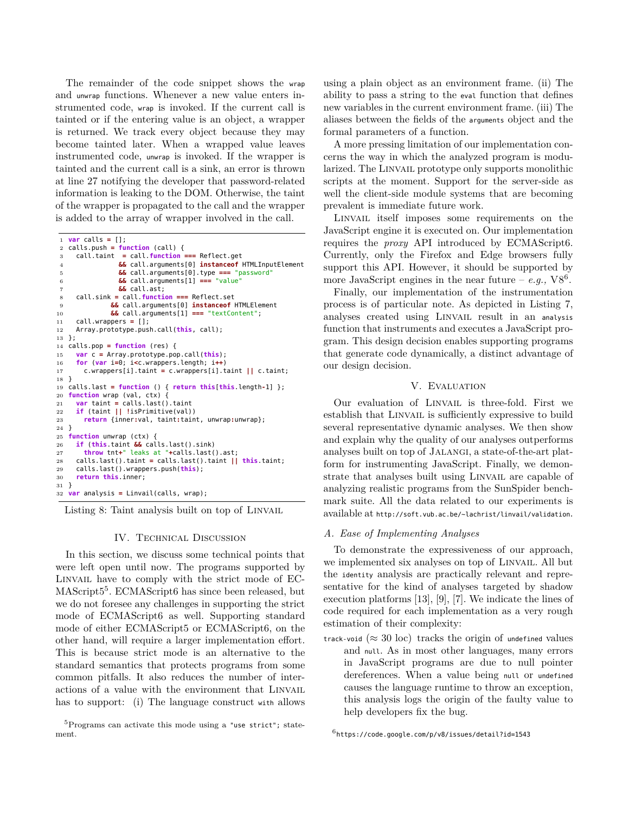The remainder of the code snippet shows the wrap and unwrap functions. Whenever a new value enters instrumented code, wrap is invoked. If the current call is tainted or if the entering value is an object, a wrapper is returned. We track every object because they may become tainted later. When a wrapped value leaves instrumented code, unwrap is invoked. If the wrapper is tainted and the current call is a sink, an error is thrown at line 27 notifying the developer that password-related information is leaking to the DOM. Otherwise, the taint of the wrapper is propagated to the call and the wrapper is added to the array of wrapper involved in the call.

```
1 var calls = [];
2 calls.push = function (call) {
3 call.taint = call.function === Reflect.get
 4 && call.arguments[0] instanceof HTMLInputElement
                5 && call.arguments[0].type === "password"
                6 && call.arguments[1] === "value"
                7 && call.ast;
 8 call.sink = call.function === Reflect.set
9 && call.arguments[0] instanceof HTMLElement
10 && call.arguments[1] === "textContent";
11 call.wrappers = [];
12 Array.prototype.push.call(this, call);
13 };
14 calls.pop = function (res) {
15 var c = Array.prototype.pop.call(this);
16 for (var i=0; i<c.wrappers.length; i++)
17 c.wrappers[i].taint = c.wrappers[i].taint || c.taint;
\begin{matrix} 18 \\ 19 \end{matrix} C
   19 calls.last = function () { return this[this.length-1] };
20 function wrap (val, ctx) {
21 var taint = calls.last().taint
22 if (taint || !isPrimitive(val))
23 return {inner:val, taint:taint, unwrap:unwrap};
_{24}25 function unwrap (ctx) {<br>26 if (this.taint && cal
     26 if (this.taint && calls.last().sink)
27 throw tnt+" leaks at "+calls.last().ast;
28 calls.last().taint = calls.last().taint || this.taint;
29 calls.last().wrappers.push(this);
30 return this.inner;
31 }
32 var analysis = Linvail(calls, wrap);
```
Listing 8: Taint analysis built on top of Linvail

#### IV. Technical Discussion

In this section, we discuss some technical points that were left open until now. The programs supported by Linvail have to comply with the strict mode of EC-MAScript<sup>55</sup>. ECMAScript6 has since been released, but we do not foresee any challenges in supporting the strict mode of ECMAScript6 as well. Supporting standard mode of either ECMAScript5 or ECMAScript6, on the other hand, will require a larger implementation effort. This is because strict mode is an alternative to the standard semantics that protects programs from some common pitfalls. It also reduces the number of interactions of a value with the environment that Linvail has to support: (i) The language construct with allows using a plain object as an environment frame. (ii) The ability to pass a string to the eval function that defines new variables in the current environment frame. (iii) The aliases between the fields of the arguments object and the formal parameters of a function.

A more pressing limitation of our implementation concerns the way in which the analyzed program is modularized. The Linvail prototype only supports monolithic scripts at the moment. Support for the server-side as well the client-side module systems that are becoming prevalent is immediate future work.

Linvail itself imposes some requirements on the JavaScript engine it is executed on. Our implementation requires the *proxy* API introduced by ECMAScript6. Currently, only the Firefox and Edge browsers fully support this API. However, it should be supported by more JavaScript engines in the near future –  $e.g.,\ \nabla 8^6$ .

Finally, our implementation of the instrumentation process is of particular note. As depicted in Listing 7, analyses created using LINVAIL result in an analysis function that instruments and executes a JavaScript program. This design decision enables supporting programs that generate code dynamically, a distinct advantage of our design decision.

# V. Evaluation

Our evaluation of LINVAIL is three-fold. First we establish that Linvail is sufficiently expressive to build several representative dynamic analyses. We then show and explain why the quality of our analyses outperforms analyses built on top of Jalangi, a state-of-the-art platform for instrumenting JavaScript. Finally, we demonstrate that analyses built using LINVAIL are capable of analyzing realistic programs from the SunSpider benchmark suite. All the data related to our experiments is available at http://soft.vub.ac.be/~lachrist/linvail/validation.

## *A. Ease of Implementing Analyses*

To demonstrate the expressiveness of our approach, we implemented six analyses on top of LINVAIL. All but the identity analysis are practically relevant and representative for the kind of analyses targeted by shadow execution platforms [13], [9], [7]. We indicate the lines of code required for each implementation as a very rough estimation of their complexity:

track-void ( $\approx 30$  loc) tracks the origin of undefined values and null. As in most other languages, many errors in JavaScript programs are due to null pointer dereferences. When a value being null or undefined causes the language runtime to throw an exception, this analysis logs the origin of the faulty value to help developers fix the bug.

 $6$ https://code.google.com/p/v8/issues/detail?id=1543

<sup>5</sup>Programs can activate this mode using a "use strict"; statement.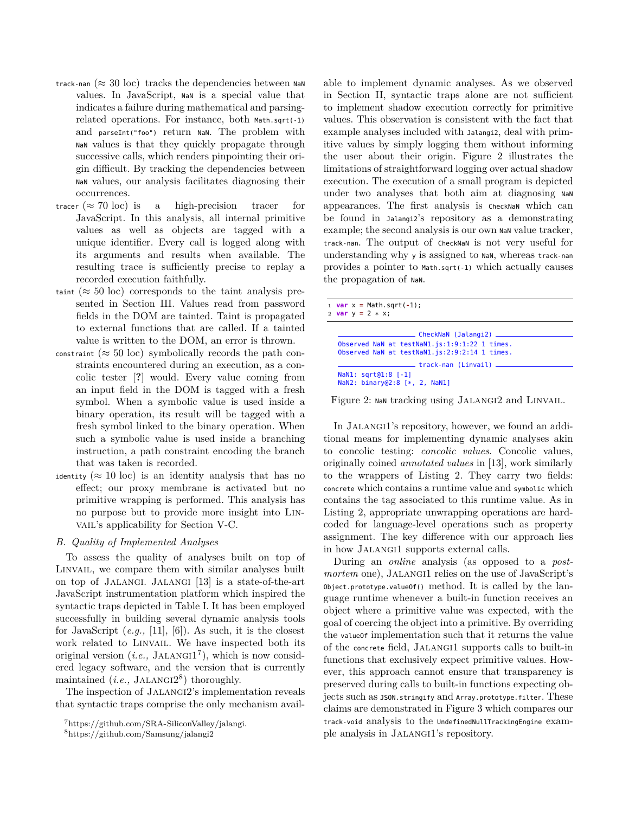- track-nan ( $\approx 30 \text{ loc}$ ) tracks the dependencies between NaN values. In JavaScript, NaN is a special value that indicates a failure during mathematical and parsingrelated operations. For instance, both Math.sqrt(-1) and parseInt("foo") return NaN. The problem with NaN values is that they quickly propagate through successive calls, which renders pinpointing their origin difficult. By tracking the dependencies between NaN values, our analysis facilitates diagnosing their occurrences.
- tracer ( $\approx 70$  loc) is a high-precision tracer for JavaScript. In this analysis, all internal primitive values as well as objects are tagged with a unique identifier. Every call is logged along with its arguments and results when available. The resulting trace is sufficiently precise to replay a recorded execution faithfully.
- taint ( $\approx 50 \text{ loc}$ ) corresponds to the taint analysis presented in Section III. Values read from password fields in the DOM are tainted. Taint is propagated to external functions that are called. If a tainted value is written to the DOM, an error is thrown.
- constraint ( $\approx 50$  loc) symbolically records the path constraints encountered during an execution, as a concolic tester [**?**] would. Every value coming from an input field in the DOM is tagged with a fresh symbol. When a symbolic value is used inside a binary operation, its result will be tagged with a fresh symbol linked to the binary operation. When such a symbolic value is used inside a branching instruction, a path constraint encoding the branch that was taken is recorded.
- identity ( $\approx 10$  loc) is an identity analysis that has no effect; our proxy membrane is activated but no primitive wrapping is performed. This analysis has no purpose but to provide more insight into Linvail's applicability for Section V-C.

# *B. Quality of Implemented Analyses*

To assess the quality of analyses built on top of Linvail, we compare them with similar analyses built on top of Jalangi. Jalangi [13] is a state-of-the-art JavaScript instrumentation platform which inspired the syntactic traps depicted in Table I. It has been employed successfully in building several dynamic analysis tools for JavaScript (*e.g.,* [11], [6]). As such, it is the closest work related to LINVAIL. We have inspected both its original version  $(i.e., JALANGI1<sup>7</sup>)$ , which is now considered legacy software, and the version that is currently maintained  $(i.e., JALANGI2<sup>8</sup>)$  thoroughly.

The inspection of Jalangi2's implementation reveals that syntactic traps comprise the only mechanism available to implement dynamic analyses. As we observed in Section II, syntactic traps alone are not sufficient to implement shadow execution correctly for primitive values. This observation is consistent with the fact that example analyses included with Jalangi2, deal with primitive values by simply logging them without informing the user about their origin. Figure 2 illustrates the limitations of straightforward logging over actual shadow execution. The execution of a small program is depicted under two analyses that both aim at diagnosing NaN appearances. The first analysis is CheckNaN which can be found in Jalangi2's repository as a demonstrating example; the second analysis is our own NaN value tracker, track-nan. The output of CheckNaN is not very useful for understanding why <sup>y</sup> is assigned to NaN, whereas track-nan provides a pointer to Math.sqrt(-1) which actually causes the propagation of NaN.

| 1 var $x = \text{Math.sqrt}(-1)$ ;<br>2 var $y = 2 * x$ ;                                                                  |
|----------------------------------------------------------------------------------------------------------------------------|
| CheckNaN (Jalangi2) ____<br>Observed NaN at testNaN1.js:1:9:1:22 1 times.<br>Observed NaN at testNaN1.js:2:9:2:14 1 times. |
| __________ track-nan (Linvail) _____                                                                                       |
| NaN1: $sqrt(01:8[-1])$<br>NaN2: binary@2:8 [*, 2, NaN1]                                                                    |

Figure 2: Nan tracking using JALANGI2 and LINVAIL.

In Jalangi1's repository, however, we found an additional means for implementing dynamic analyses akin to concolic testing: *concolic values*. Concolic values, originally coined *annotated values* in [13], work similarly to the wrappers of Listing 2. They carry two fields: concrete which contains a runtime value and symbolic which contains the tag associated to this runtime value. As in Listing 2, appropriate unwrapping operations are hardcoded for language-level operations such as property assignment. The key difference with our approach lies in how Jalangi1 supports external calls.

During an *online* analysis (as opposed to a *postmortem* one), JALANGI1 relies on the use of JavaScript's Object.prototype.valueOf() method. It is called by the language runtime whenever a built-in function receives an object where a primitive value was expected, with the goal of coercing the object into a primitive. By overriding the value of implementation such that it returns the value of the concrete field, Jalangi1 supports calls to built-in functions that exclusively expect primitive values. However, this approach cannot ensure that transparency is preserved during calls to built-in functions expecting objects such as JSON.stringify and Array.prototype.filter. These claims are demonstrated in Figure 3 which compares our track-void analysis to the UndefinedNullTrackingEngine example analysis in Jalangi1's repository.

<sup>7</sup>https://github.com/SRA-SiliconValley/jalangi.

<sup>8</sup>https://github.com/Samsung/jalangi2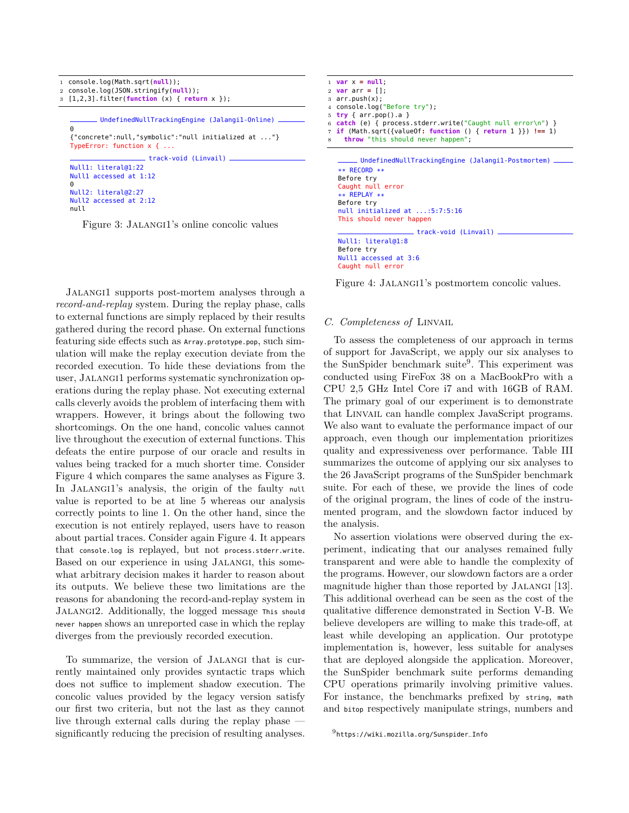```
1 console.log(Math.sqrt(null));
2 console.log(JSON.stringify(null));
3 [1,2,3].filter(function (x) { return x });
          UndefinedNullTrackingEngine (Jalangi1-Online)
  \boldsymbol{\theta}{"concrete":null,"symbolic":"null initialized at ..."}
  TypeError: function x { ...
                        track-void (Linvail)
  Null1: literal@1:22
  Null1 accessed at 1:12
   0
Null2: literal@2:27
  Null2 accessed at 2:12
  null
```
Figure 3: Jalangi1's online concolic values

Jalangi1 supports post-mortem analyses through a *record-and-replay* system. During the replay phase, calls to external functions are simply replaced by their results gathered during the record phase. On external functions featuring side effects such as Array.prototype.pop, such simulation will make the replay execution deviate from the recorded execution. To hide these deviations from the user, Jalangi1 performs systematic synchronization operations during the replay phase. Not executing external calls cleverly avoids the problem of interfacing them with wrappers. However, it brings about the following two shortcomings. On the one hand, concolic values cannot live throughout the execution of external functions. This defeats the entire purpose of our oracle and results in values being tracked for a much shorter time. Consider Figure 4 which compares the same analyses as Figure 3. In JALANGI1's analysis, the origin of the faulty null value is reported to be at line 5 whereas our analysis correctly points to line 1. On the other hand, since the execution is not entirely replayed, users have to reason about partial traces. Consider again Figure 4. It appears that console.log is replayed, but not process.stderr.write. Based on our experience in using Jalangi, this somewhat arbitrary decision makes it harder to reason about its outputs. We believe these two limitations are the reasons for abandoning the record-and-replay system in Jalangi2. Additionally, the logged message This should never happen shows an unreported case in which the replay diverges from the previously recorded execution.

To summarize, the version of Jalangi that is currently maintained only provides syntactic traps which does not suffice to implement shadow execution. The concolic values provided by the legacy version satisfy our first two criteria, but not the last as they cannot live through external calls during the replay phase significantly reducing the precision of resulting analyses.

```
1 var x = null;
2 var arr = [];
3 arr.push(x):
4 console.log("Before try");
5 try { arr.pop().a }
6 catch (e) { process.stderr.write("Caught null error\n") }
7 if (Math.sqrt({valueOf: function () { return 1 }}) !== 1)
    throw "this should never happen":
       UndefinedNullTrackingEngine (Jalangi1-Postmortem)
  ** RECORD **
  Before try
  Caught null error
   ** REPLAY **
  Before try
  null initialized at ...:5:7:5:16
  This should never happen
                      track-void (Linvail).
  Null1: literal@1:8
  Before try
```
Null1 accessed at 3:6 Caught null error

Figure 4: JALANGI1's postmortem concolic values.

# *C. Completeness of* Linvail

To assess the completeness of our approach in terms of support for JavaScript, we apply our six analyses to the SunSpider benchmark suite<sup>9</sup>. This experiment was conducted using FireFox 38 on a MacBookPro with a CPU 2,5 GHz Intel Core i7 and with 16GB of RAM. The primary goal of our experiment is to demonstrate that Linvail can handle complex JavaScript programs. We also want to evaluate the performance impact of our approach, even though our implementation prioritizes quality and expressiveness over performance. Table III summarizes the outcome of applying our six analyses to the 26 JavaScript programs of the SunSpider benchmark suite. For each of these, we provide the lines of code of the original program, the lines of code of the instrumented program, and the slowdown factor induced by the analysis.

No assertion violations were observed during the experiment, indicating that our analyses remained fully transparent and were able to handle the complexity of the programs. However, our slowdown factors are a order magnitude higher than those reported by JALANGI [13]. This additional overhead can be seen as the cost of the qualitative difference demonstrated in Section V-B. We believe developers are willing to make this trade-off, at least while developing an application. Our prototype implementation is, however, less suitable for analyses that are deployed alongside the application. Moreover, the SunSpider benchmark suite performs demanding CPU operations primarily involving primitive values. For instance, the benchmarks prefixed by string, math and bitop respectively manipulate strings, numbers and

<sup>9</sup>https://wiki.mozilla.org/Sunspider\_Info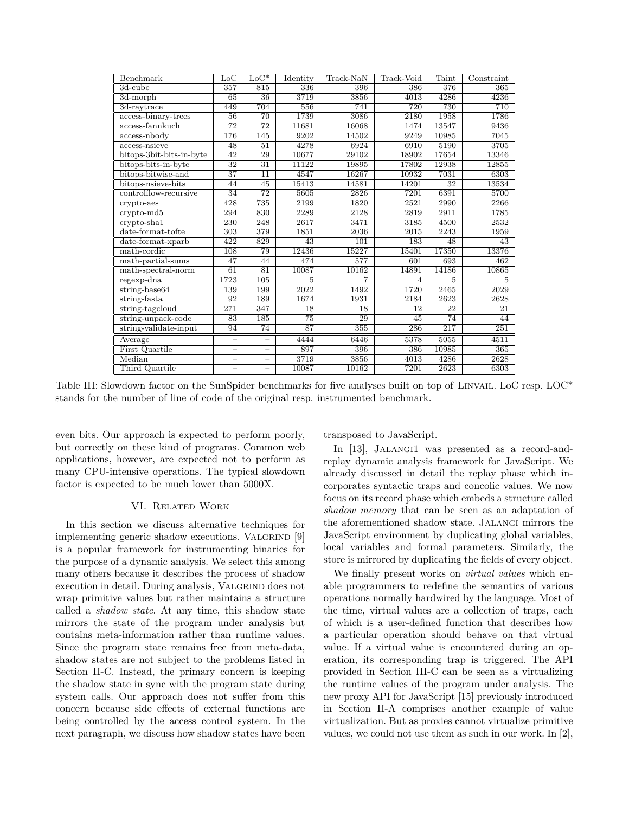| Benchmark                                 | $_{\text{LoC}}$          | $\rm LoC^*$              | Identity        | Track-NaN | Track-Void        | Taint           | Constraint     |
|-------------------------------------------|--------------------------|--------------------------|-----------------|-----------|-------------------|-----------------|----------------|
| $3d$ -cube                                | 357                      | 815                      | 336             | 396       | 386               | 376             | 365            |
| 3d-morph                                  | 65                       | 36                       | 3719            | 3856      | 4013              | 4286            | 4236           |
| 3d-raytrace                               | 449                      | 704                      | 556             | 741       | 720               | 730             | 710            |
| access-binary-trees                       | 56                       | 70                       | 1739            | 3086      | 2180              | 1958            | 1786           |
| access-fannkuch                           | $\overline{72}$          | $\overline{72}$          | 11681           | 16068     | 1474              | 13547           | 9436           |
| access-nbody                              | 176                      | 145                      | 9202            | 14502     | 9249              | 10985           | 7045           |
| access-nsieve                             | 48                       | 51                       | 4278            | 6924      | 6910              | 5190            | 3705           |
| bitops-3bit-bits-in-byte                  | 42                       | 29                       | 10677           | 29102     | 18902             | 17654           | 13346          |
| bitops-bits-in-byte                       | $\overline{32}$          | $\overline{31}$          | 11122           | 19895     | 17802             | 12938           | 12855          |
| bitops-bitwise-and                        | $\overline{37}$          | 11                       | 4547            | 16267     | 10932             | 7031            | 6303           |
| bitops-nsieve-bits                        | 44                       | 45                       | 15413           | 14581     | 14201             | $\overline{32}$ | 13534          |
| $\overline{\text{controll}}$ ow-recursive | 34                       | $\overline{72}$          | 5605            | 2826      | $\overline{720}1$ | 6391            | 5700           |
| crypto-aes                                | 428                      | 735                      | 2199            | 1820      | 2521              | 2990            | 2266           |
| $crypto-md5$                              | 294                      | 830                      | 2289            | 2128      | 2819              | 2911            | 1785           |
| $\overline{\text{crypto-shal}}$           | 230                      | 248                      | 2617            | 3471      | 3185              | 4500            | 2532           |
| date-format-tofte                         | $\overline{303}$         | 379                      | 1851            | 2036      | 2015              | 2243            | 1959           |
| date-format-xparb                         | 422                      | 829                      | 43              | 101       | 183               | 48              | 43             |
| math-cordic                               | 108                      | 79                       | 12436           | 15227     | 15401             | 17350           | 13376          |
| math-partial-sums                         | 47                       | 44                       | 474             | 577       | 601               | 693             | 462            |
| math-spectral-norm                        | 61                       | 81                       | 10087           | 10162     | 14891             | 14186           | 10865          |
| $regexp-dna$                              | 1723                     | 105                      | 5               |           | $\overline{4}$    | $\overline{5}$  | $\overline{5}$ |
| $string$ -base $64$                       | 139                      | 199                      | 2022            | 1492      | 1720              | 2465            | 2029           |
| string-fasta                              | 92                       | 189                      | 1674            | 1931      | 2184              | 2623            | 2628           |
| string-tagcloud                           | 271                      | 347                      | 18              | 18        | $\overline{12}$   | 22              | 21             |
| string-unpack-code                        | 83                       | 185                      | $\overline{75}$ | 29        | 45                | 74              | 44             |
| string-validate-input                     | 94                       | 74                       | 87              | 355       | 286               | 217             | 251            |
| Average                                   | $\overline{\phantom{0}}$ | $\equiv$                 | 4444            | 6446      | 5378              | 5055            | 4511           |
| First Quartile                            | $\overline{\phantom{0}}$ | $\overline{\phantom{0}}$ | 897             | 396       | 386               | 10985           | 365            |
| Median                                    | $\overline{\phantom{0}}$ | $\equiv$                 | 3719            | 3856      | 4013              | 4286            | 2628           |
| Third Quartile                            |                          | $\overline{\phantom{0}}$ | 10087           | 10162     | 7201              | 2623            | 6303           |

Table III: Slowdown factor on the SunSpider benchmarks for five analyses built on top of LINVAIL. LoC resp. LOC<sup>\*</sup> stands for the number of line of code of the original resp. instrumented benchmark.

even bits. Our approach is expected to perform poorly, but correctly on these kind of programs. Common web applications, however, are expected not to perform as many CPU-intensive operations. The typical slowdown factor is expected to be much lower than 5000X.

# VI. Related Work

In this section we discuss alternative techniques for implementing generic shadow executions. VALGRIND [9] is a popular framework for instrumenting binaries for the purpose of a dynamic analysis. We select this among many others because it describes the process of shadow execution in detail. During analysis, VALGRIND does not wrap primitive values but rather maintains a structure called a *shadow state*. At any time, this shadow state mirrors the state of the program under analysis but contains meta-information rather than runtime values. Since the program state remains free from meta-data, shadow states are not subject to the problems listed in Section II-C. Instead, the primary concern is keeping the shadow state in sync with the program state during system calls. Our approach does not suffer from this concern because side effects of external functions are being controlled by the access control system. In the next paragraph, we discuss how shadow states have been transposed to JavaScript.

In [13], Jalangi1 was presented as a record-andreplay dynamic analysis framework for JavaScript. We already discussed in detail the replay phase which incorporates syntactic traps and concolic values. We now focus on its record phase which embeds a structure called *shadow memory* that can be seen as an adaptation of the aforementioned shadow state. Jalangi mirrors the JavaScript environment by duplicating global variables, local variables and formal parameters. Similarly, the store is mirrored by duplicating the fields of every object.

We finally present works on *virtual values* which enable programmers to redefine the semantics of various operations normally hardwired by the language. Most of the time, virtual values are a collection of traps, each of which is a user-defined function that describes how a particular operation should behave on that virtual value. If a virtual value is encountered during an operation, its corresponding trap is triggered. The API provided in Section III-C can be seen as a virtualizing the runtime values of the program under analysis. The new proxy API for JavaScript [15] previously introduced in Section II-A comprises another example of value virtualization. But as proxies cannot virtualize primitive values, we could not use them as such in our work. In [2],